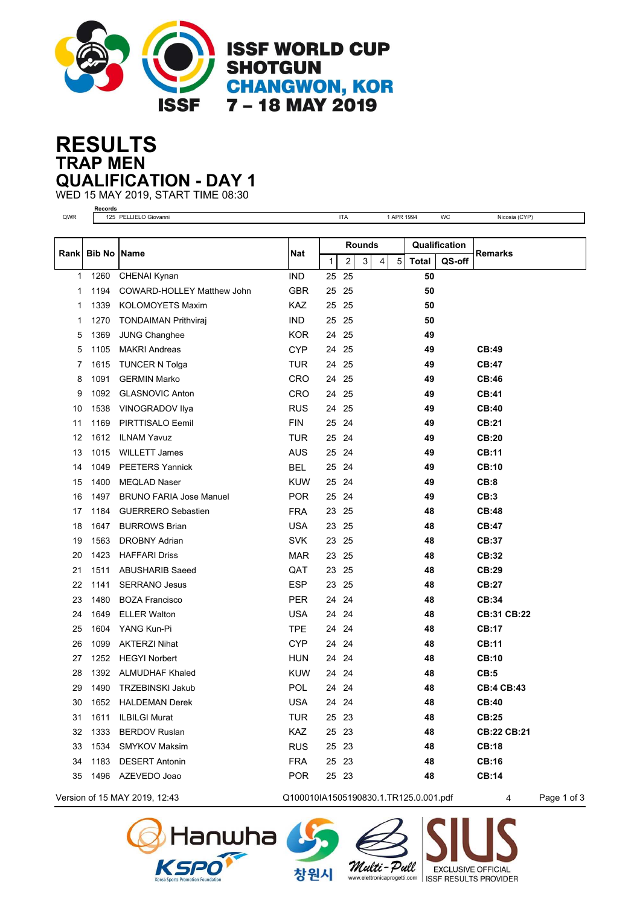

## **TRAP MEN RESULTS QUALIFICATION - DAY 1**

WED 15 MAY 2019, START TIME 08:30

| <b>Records</b> |             |                                   |            |               |            |  |   |            |               |        |                    |
|----------------|-------------|-----------------------------------|------------|---------------|------------|--|---|------------|---------------|--------|--------------------|
| QWR            |             | 125 PELLIELO Giovanni             |            |               | <b>ITA</b> |  |   | 1 APR 1994 |               | WC     | Nicosia (CYP)      |
|                |             |                                   |            | <b>Rounds</b> |            |  |   |            | Qualification |        |                    |
|                | Rank Bib No | <b>Name</b>                       | Nat        | $\mathbf{1}$  | 2<br>3     |  | 4 | 5          | <b>Total</b>  | QS-off | Remarks            |
| 1              | 1260        | CHENAI Kynan                      | <b>IND</b> | 25            | 25         |  |   |            | 50            |        |                    |
| 1              | 1194        | <b>COWARD-HOLLEY Matthew John</b> | <b>GBR</b> | 25            | 25         |  |   |            | 50            |        |                    |
| 1              | 1339        | KOLOMOYETS Maxim                  | KAZ        | 25            | 25         |  |   |            | 50            |        |                    |
| 1              | 1270        | <b>TONDAIMAN Prithviraj</b>       | <b>IND</b> | 25            | 25         |  |   |            | 50            |        |                    |
| 5              | 1369        | <b>JUNG Changhee</b>              | <b>KOR</b> | 24            | 25         |  |   |            | 49            |        |                    |
| 5              | 1105        | <b>MAKRI Andreas</b>              | <b>CYP</b> | 24            | 25         |  |   |            | 49            |        | CB:49              |
| 7              | 1615        | <b>TUNCER N Tolga</b>             | <b>TUR</b> | 24            | 25         |  |   |            | 49            |        | <b>CB:47</b>       |
| 8              | 1091        | <b>GERMIN Marko</b>               | <b>CRO</b> |               | 24 25      |  |   |            | 49            |        | <b>CB:46</b>       |
| 9              | 1092        | <b>GLASNOVIC Anton</b>            | CRO        | 24            | 25         |  |   |            | 49            |        | <b>CB:41</b>       |
| 10             | 1538        | VINOGRADOV Ilya                   | <b>RUS</b> | 24            | 25         |  |   |            | 49            |        | CB:40              |
| 11             | 1169        | PIRTTISALO Eemil                  | <b>FIN</b> | 25            | 24         |  |   |            | 49            |        | CB:21              |
| 12             | 1612        | <b>ILNAM Yavuz</b>                | <b>TUR</b> |               | 25 24      |  |   |            | 49            |        | CB:20              |
| 13             | 1015        | <b>WILLETT James</b>              | <b>AUS</b> | 25            | 24         |  |   |            | 49            |        | <b>CB:11</b>       |
| 14             | 1049        | <b>PEETERS Yannick</b>            | <b>BEL</b> | 25            | 24         |  |   |            | 49            |        | <b>CB:10</b>       |
| 15             | 1400        | <b>MEQLAD Naser</b>               | <b>KUW</b> | 25 24         |            |  |   |            | 49            |        | CB:8               |
| 16             | 1497        | <b>BRUNO FARIA Jose Manuel</b>    | <b>POR</b> |               | 25 24      |  |   |            | 49            |        | CB:3               |
| 17             | 1184        | <b>GUERRERO Sebastien</b>         | <b>FRA</b> | 23            | 25         |  |   |            | 48            |        | <b>CB:48</b>       |
| 18             | 1647        | <b>BURROWS Brian</b>              | <b>USA</b> | 23            | 25         |  |   |            | 48            |        | <b>CB:47</b>       |
| 19             | 1563        | <b>DROBNY Adrian</b>              | <b>SVK</b> |               | 23 25      |  |   |            | 48            |        | CB:37              |
| 20             | 1423        | <b>HAFFARI Driss</b>              | <b>MAR</b> | 23            | 25         |  |   |            | 48            |        | CB:32              |
| 21             | 1511        | <b>ABUSHARIB Saeed</b>            | QAT        | 23            | 25         |  |   |            | 48            |        | CB:29              |
| 22             | 1141        | <b>SERRANO Jesus</b>              | <b>ESP</b> |               | 23 25      |  |   |            | 48            |        | CB:27              |
| 23             | 1480        | <b>BOZA Francisco</b>             | <b>PER</b> |               | 24 24      |  |   |            | 48            |        | CB:34              |
| 24             | 1649        | <b>ELLER Walton</b>               | <b>USA</b> | 24            | 24         |  |   |            | 48            |        | <b>CB:31 CB:22</b> |
| 25             | 1604        | YANG Kun-Pi                       | <b>TPE</b> | 24            | 24         |  |   |            | 48            |        | <b>CB:17</b>       |
| 26             | 1099        | <b>AKTERZI Nihat</b>              | <b>CYP</b> | 24            | 24         |  |   |            | 48            |        | <b>CB:11</b>       |
| 27             | 1252        | <b>HEGYI Norbert</b>              | <b>HUN</b> | 24            | 24         |  |   |            | 48            |        | <b>CB:10</b>       |
| 28             | 1392        | <b>ALMUDHAF Khaled</b>            | <b>KUW</b> |               | 24 24      |  |   |            | 48            |        | CB:5               |
| 29             | 1490        | TRZEBINSKI Jakub                  | <b>POL</b> |               | 24 24      |  |   |            | 48            |        | <b>CB:4 CB:43</b>  |
| 30             | 1652        | <b>HALDEMAN Derek</b>             | <b>USA</b> |               | 24 24      |  |   |            | 48            |        | <b>CB:40</b>       |
| 31             | 1611        | ILBILGI Murat                     | <b>TUR</b> |               | 25 23      |  |   |            | 48            |        | <b>CB:25</b>       |
| 32             | 1333        | <b>BERDOV Ruslan</b>              | KAZ        |               | 25 23      |  |   |            | 48            |        | CB:22 CB:21        |
| 33             | 1534        | <b>SMYKOV Maksim</b>              | <b>RUS</b> |               | 25 23      |  |   |            | 48            |        | <b>CB:18</b>       |
| 34             | 1183        | <b>DESERT Antonin</b>             | <b>FRA</b> |               | 25 23      |  |   |            | 48            |        | <b>CB:16</b>       |
| 35             |             | 1496 AZEVEDO Joao                 | <b>POR</b> |               | 25 23      |  |   |            | 48            |        | <b>CB:14</b>       |

Version of 15 MAY 2019, 12:43 Q100010IA1505190830.1.TR125.0.001.pdf 4 Page 1 of 3





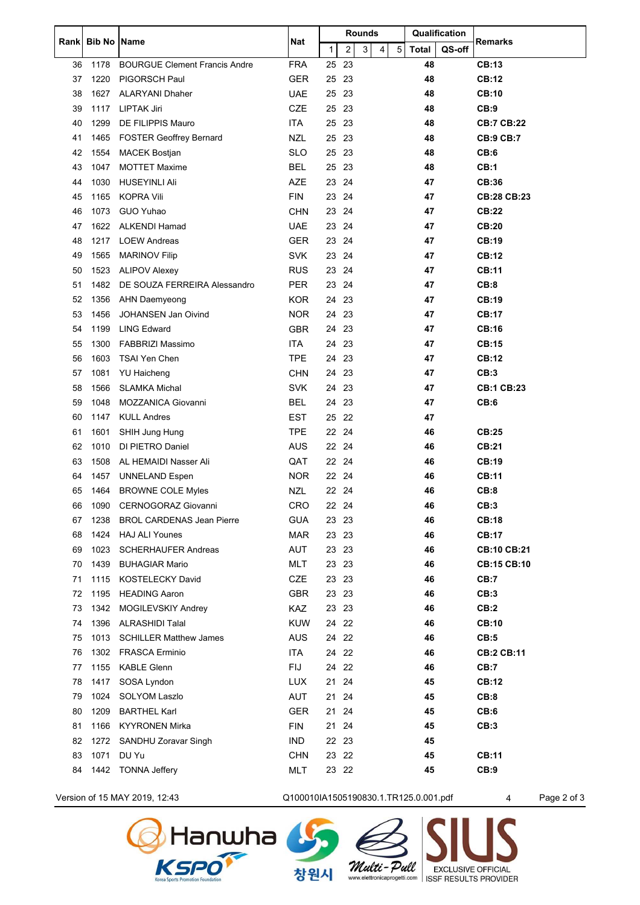| Rank | <b>Bib No   Name</b> |                                      | <b>Nat</b> | <b>Rounds</b> |       |   |   |            | Qualification |        | Remarks            |
|------|----------------------|--------------------------------------|------------|---------------|-------|---|---|------------|---------------|--------|--------------------|
|      |                      |                                      |            | $\mathbf{1}$  | 2     | 3 | 4 | $\sqrt{5}$ | <b>Total</b>  | QS-off |                    |
| 36   | 1178                 | <b>BOURGUE Clement Francis Andre</b> | <b>FRA</b> | 25            | 23    |   |   |            | 48            |        | <b>CB:13</b>       |
| 37   | 1220                 | PIGORSCH Paul                        | <b>GER</b> | 25            | 23    |   |   |            | 48            |        | CB:12              |
| 38   | 1627                 | <b>ALARYANI Dhaher</b>               | <b>UAE</b> | 25            | 23    |   |   |            | 48            |        | <b>CB:10</b>       |
| 39   | 1117                 | LIPTAK Jiri                          | <b>CZE</b> | 25            | 23    |   |   |            | 48            |        | CB:9               |
| 40   | 1299                 | DE FILIPPIS Mauro                    | ITA        | 25            | 23    |   |   |            | 48            |        | <b>CB:7 CB:22</b>  |
| 41   | 1465                 | <b>FOSTER Geoffrey Bernard</b>       | <b>NZL</b> | 25            | 23    |   |   |            | 48            |        | <b>CB:9 CB:7</b>   |
| 42   | 1554                 | MACEK Bostjan                        | <b>SLO</b> | 25            | 23    |   |   |            | 48            |        | CB:6               |
| 43   | 1047                 | <b>MOTTET Maxime</b>                 | <b>BEL</b> | 25            | 23    |   |   |            | 48            |        | CB:1               |
| 44   | 1030                 | <b>HUSEYINLI Ali</b>                 | <b>AZE</b> | 23            | 24    |   |   |            | 47            |        | CB:36              |
| 45   | 1165                 | <b>KOPRA Vili</b>                    | <b>FIN</b> | 23            | 24    |   |   |            | 47            |        | <b>CB:28 CB:23</b> |
| 46   | 1073                 | GUO Yuhao                            | <b>CHN</b> | 23            | 24    |   |   |            | 47            |        | <b>CB:22</b>       |
| 47   | 1622                 | <b>ALKENDI Hamad</b>                 | <b>UAE</b> | 23            | 24    |   |   |            | 47            |        | <b>CB:20</b>       |
| 48   | 1217                 | <b>LOEW Andreas</b>                  | <b>GER</b> | 23            | 24    |   |   |            | 47            |        | CB:19              |
| 49   | 1565                 | <b>MARINOV Filip</b>                 | <b>SVK</b> | 23            | 24    |   |   |            | 47            |        | CB:12              |
| 50   | 1523                 | <b>ALIPOV Alexey</b>                 | <b>RUS</b> | 23            | 24    |   |   |            | 47            |        | <b>CB:11</b>       |
| 51   | 1482                 | DE SOUZA FERREIRA Alessandro         | <b>PER</b> | 23            | 24    |   |   |            | 47            |        | CB:8               |
| 52   | 1356                 | <b>AHN Daemyeong</b>                 | <b>KOR</b> | 24            | 23    |   |   |            | 47            |        | CB:19              |
| 53   | 1456                 | <b>JOHANSEN Jan Oivind</b>           | <b>NOR</b> | 24            | 23    |   |   |            | 47            |        | <b>CB:17</b>       |
| 54   | 1199                 | <b>LING Edward</b>                   | <b>GBR</b> | 24            | 23    |   |   |            | 47            |        | <b>CB:16</b>       |
| 55   | 1300                 | FABBRIZI Massimo                     | <b>ITA</b> | 24            | 23    |   |   |            | 47            |        | <b>CB:15</b>       |
| 56   | 1603                 | <b>TSAI Yen Chen</b>                 | <b>TPE</b> | 24            | 23    |   |   |            | 47            |        | <b>CB:12</b>       |
| 57   | 1081                 | <b>YU Haicheng</b>                   | <b>CHN</b> | 24            | 23    |   |   |            | 47            |        | CB:3               |
| 58   | 1566                 | <b>SLAMKA Michal</b>                 | <b>SVK</b> | 24            | 23    |   |   |            | 47            |        | <b>CB:1 CB:23</b>  |
| 59   | 1048                 | <b>MOZZANICA Giovanni</b>            | <b>BEL</b> | 24            | 23    |   |   |            | 47            |        | CB:6               |
| 60   | 1147                 | <b>KULL Andres</b>                   | <b>EST</b> | 25            | 22    |   |   |            | 47            |        |                    |
| 61   | 1601                 | SHIH Jung Hung                       | <b>TPE</b> | 22            | 24    |   |   |            | 46            |        | CB:25              |
| 62   | 1010                 | DI PIETRO Daniel                     | <b>AUS</b> | 22            | 24    |   |   |            | 46            |        | <b>CB:21</b>       |
| 63   | 1508                 | AL HEMAIDI Nasser Ali                | QAT        | 22 24         |       |   |   |            | 46            |        | CB:19              |
| 64   | 1457                 | <b>UNNELAND Espen</b>                | <b>NOR</b> | 22            | 24    |   |   |            | 46            |        | <b>CB:11</b>       |
| 65   | 1464                 | <b>BROWNE COLE Myles</b>             | <b>NZL</b> | 22 24         |       |   |   |            | 46            |        | CB:8               |
| 66   | 1090                 | CERNOGORAZ Giovanni                  | <b>CRO</b> | 22            | -24   |   |   |            | 46            |        | CB:3               |
| 67   | 1238                 | <b>BROL CARDENAS Jean Pierre</b>     | <b>GUA</b> | 23 23         |       |   |   |            | 46            |        | <b>CB:18</b>       |
| 68   | 1424                 | <b>HAJ ALI Younes</b>                | <b>MAR</b> | 23            | 23    |   |   |            | 46            |        | <b>CB:17</b>       |
| 69   | 1023                 | <b>SCHERHAUFER Andreas</b>           | AUT        | 23 23         |       |   |   |            | 46            |        | <b>CB:10 CB:21</b> |
| 70   | 1439                 | <b>BUHAGIAR Mario</b>                | <b>MLT</b> |               | 23 23 |   |   |            | 46            |        | <b>CB:15 CB:10</b> |
| 71   | 1115                 | KOSTELECKY David                     | CZE        | 23 23         |       |   |   |            | 46            |        | CB:7               |
| 72   | 1195                 | <b>HEADING Aaron</b>                 | <b>GBR</b> | 23 23         |       |   |   |            | 46            |        | CB:3               |
| 73   | 1342                 | MOGILEVSKIY Andrey                   | KAZ        |               | 23 23 |   |   |            | 46            |        | CB:2               |
| 74   | 1396                 | <b>ALRASHIDI Talal</b>               | <b>KUW</b> | 24 22         |       |   |   |            | 46            |        | <b>CB:10</b>       |
| 75   | 1013                 | <b>SCHILLER Matthew James</b>        | <b>AUS</b> | 24            | 22    |   |   |            | 46            |        | CB:5               |
| 76   | 1302                 | FRASCA Erminio                       | <b>ITA</b> |               | 24 22 |   |   |            | 46            |        | <b>CB:2 CB:11</b>  |
| 77   | 1155                 | <b>KABLE Glenn</b>                   | <b>FIJ</b> | 24            | 22    |   |   |            | 46            |        | CB:7               |
| 78   | 1417                 | SOSA Lyndon                          | <b>LUX</b> | 21            | 24    |   |   |            | 45            |        | <b>CB:12</b>       |
| 79   | 1024                 | SOLYOM Laszlo                        | AUT        | 21            | 24    |   |   |            | 45            |        | CB:8               |
| 80   | 1209                 | <b>BARTHEL Karl</b>                  | <b>GER</b> | 21 24         |       |   |   |            | 45            |        | CB:6               |
| 81   | 1166                 | <b>KYYRONEN Mirka</b>                | <b>FIN</b> | 21            | 24    |   |   |            | 45            |        | CB:3               |
| 82   | 1272                 | SANDHU Zoravar Singh                 | <b>IND</b> | 22 23         |       |   |   |            | 45            |        |                    |
| 83   | 1071                 | DU Yu                                | <b>CHN</b> |               | 23 22 |   |   |            | 45            |        | <b>CB:11</b>       |
| 84   | 1442                 | <b>TONNA Jeffery</b>                 | MLT        |               | 23 22 |   |   |            | 45            |        | CB:9               |
|      |                      |                                      |            |               |       |   |   |            |               |        |                    |

Version of 15 MAY 2019, 12:43 Q100010IA1505190830.1.TR125.0.001.pdf 4 Page 2 of 3